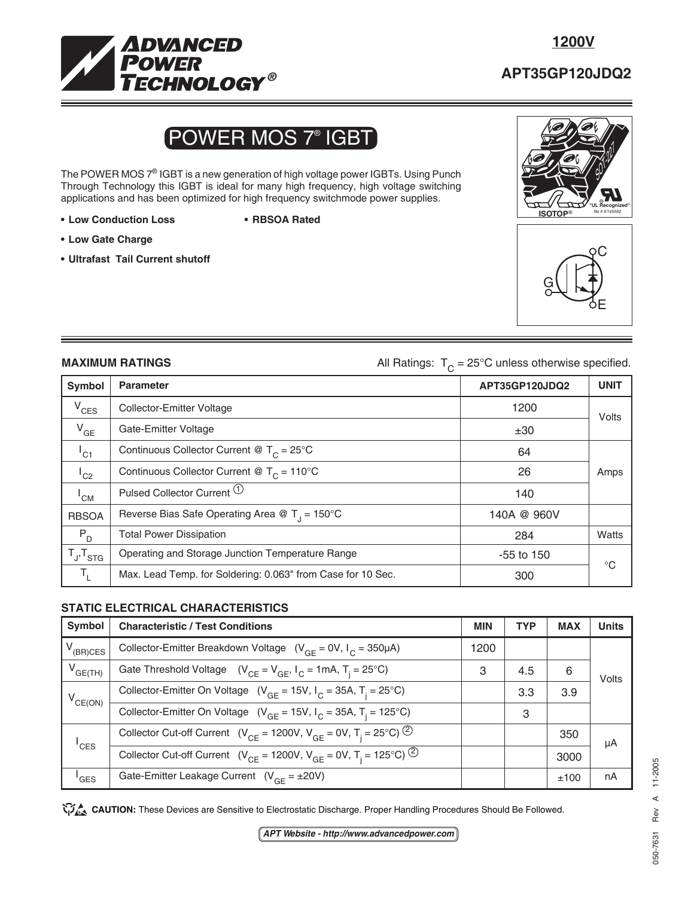

## **APT35GP120JDQ2**

# POWER MOS 7® IGBT

The POWER MOS 7<sup>®</sup> IGBT is a new generation of high voltage power IGBTs. Using Punch Through Technology this IGBT is ideal for many high frequency, high voltage switching applications and has been optimized for high frequency switchmode power supplies.

- **Low Conduction Loss RBSOA Rated**
- 

- **Low Gate Charge**
- **Ultrafast Tail Current shutoff**





#### **MAXIMUM RATINGS All Ratings:**  $T_c = 25^{\circ}$ C unless otherwise specified.

| Symbol              | <b>Parameter</b>                                            | APT35GP120JDQ2 | <b>UNIT</b> |
|---------------------|-------------------------------------------------------------|----------------|-------------|
| $V_{CES}$           | <b>Collector-Emitter Voltage</b>                            | 1200           | Volts       |
| $V_{GE}$            | Gate-Emitter Voltage                                        | ±30            |             |
| $I_{C1}$            | Continuous Collector Current @ $T_c = 25^{\circ}$ C         | 64             |             |
| $I_{C2}$            | Continuous Collector Current @ $T_c = 110^{\circ}$ C        | 26             | Amps        |
| $I_{CM}$            | Pulsed Collector Current (1)                                | 140            |             |
| <b>RBSOA</b>        | Reverse Bias Safe Operating Area @ $T_1 = 150^{\circ}$ C    | 140A @ 960V    |             |
| $P_{D}$             | <b>Total Power Dissipation</b>                              | 284            | Watts       |
| $T_{J}$ , $T_{STG}$ | Operating and Storage Junction Temperature Range            | $-55$ to 150   | °€          |
| $T_1$               | Max. Lead Temp. for Soldering: 0.063" from Case for 10 Sec. | 300            |             |

#### **STATIC ELECTRICAL CHARACTERISTICS**

| Symbol           | <b>Characteristic / Test Conditions</b>                                                             | <b>MIN</b> | <b>TYP</b> | <b>MAX</b> | <b>Units</b> |  |
|------------------|-----------------------------------------------------------------------------------------------------|------------|------------|------------|--------------|--|
| $V_{(BR)CES}$    | Collector-Emitter Breakdown Voltage $(V_{GF} = 0V, I_C = 350 \mu A)$                                | 1200       |            |            |              |  |
| $V_{GE(TH)}$     | Gate Threshold Voltage $(V_{CE} = V_{GE}, I_C = 1 \text{mA}, T_i = 25^{\circ}\text{C})$             | 3          | 4.5        | 6          | Volts        |  |
| $V_{CE(ON)}$     | Collector-Emitter On Voltage $(V_{GF} = 15V, I_C = 35A, T_i = 25^{\circ}C)$                         |            | 3.3        | 3.9        |              |  |
|                  | Collector-Emitter On Voltage ( $V_{GF}$ = 15V, $I_{C}$ = 35A, T <sub>i</sub> = 125°C)               |            | 3          |            |              |  |
| $I_{\text{CES}}$ | Collector Cut-off Current ( $V_{CE}$ = 1200V, $V_{GF}$ = 0V, T <sub>i</sub> = 25°C) <sup>(2)</sup>  |            |            | 350        | μA           |  |
|                  | Collector Cut-off Current ( $V_{CE}$ = 1200V, $V_{GF}$ = 0V, T <sub>i</sub> = 125°C) <sup>(2)</sup> |            |            | 3000       |              |  |
| <sup>I</sup> GES | Gate-Emitter Leakage Current $(V_{GF} = \pm 20V)$                                                   |            |            | ±100       | nA           |  |

CAUTION: These Devices are Sensitive to Electrostatic Discharge. Proper Handling Procedures Should Be Followed.

**APT Website - http://www.advancedpower.com**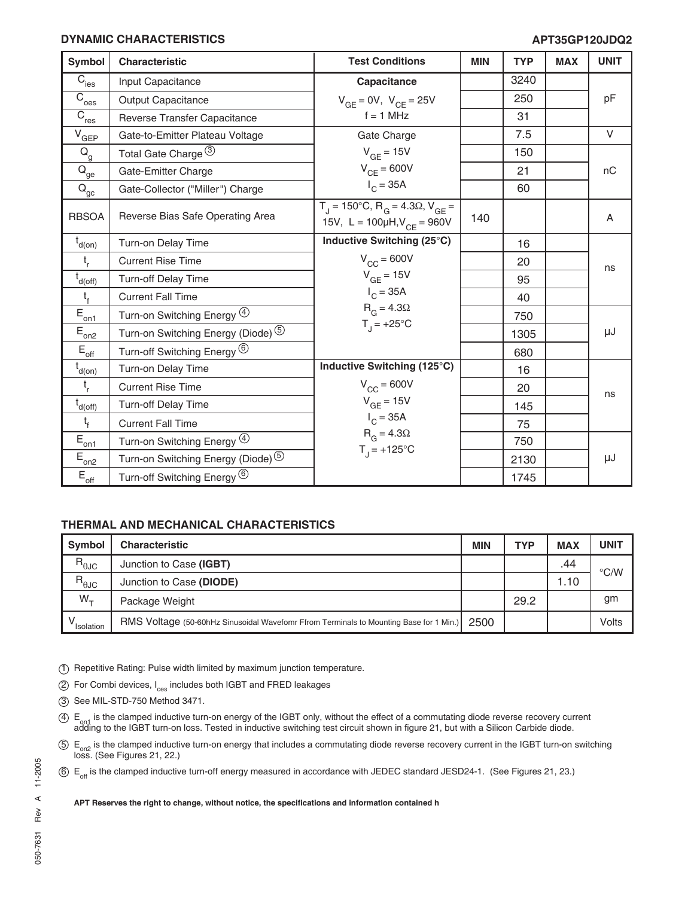#### **DYNAMIC CHARACTERISTICS APT35GP120JDQ2**

| <b>Symbol</b>                         | Characteristic                                    | <b>Test Conditions</b>                                                                                                  | <b>MIN</b> | <b>TYP</b> | <b>MAX</b> | <b>UNIT</b> |
|---------------------------------------|---------------------------------------------------|-------------------------------------------------------------------------------------------------------------------------|------------|------------|------------|-------------|
| $\overline{C}_{\rm ies}$              | Input Capacitance                                 | Capacitance                                                                                                             |            | 3240       |            |             |
| $\overline{C}_{\text{oes}}$           | <b>Output Capacitance</b>                         | $V_{GE} = 0V$ , $V_{CE} = 25V$                                                                                          |            | 250        |            | pF          |
| $\overline{C}_{\underline{res}}$      | Reverse Transfer Capacitance                      | $f = 1$ MHz                                                                                                             |            | 31         |            |             |
| $\mathrm{V}_{\underline{\text{GEP}}}$ | Gate-to-Emitter Plateau Voltage                   | Gate Charge                                                                                                             |            | 7.5        |            | $\vee$      |
| $\mathsf{Q}_{\mathsf{g}}$             | Total Gate Charge 3                               | $V_{GF} = 15V$                                                                                                          |            | 150        |            |             |
| $Q_{\underline{ge}}$                  | Gate-Emitter Charge                               | $V_{CF} = 600V$                                                                                                         |            | 21         |            | nC          |
| $Q_{\underline{gc}}$                  | Gate-Collector ("Miller") Charge                  | $I_C = 35A$                                                                                                             |            | 60         |            |             |
| <b>RBSOA</b>                          | Reverse Bias Safe Operating Area                  | $T_{\text{I}} = 150^{\circ} \text{C}, R_{\text{G}} = 4.3 \Omega, V_{\text{GE}} =$<br>15V, L = $100\mu H, V_{CE} = 960V$ | 140        |            |            | A           |
| $t_{d(0n)}$                           | Turn-on Delay Time                                | Inductive Switching (25°C)                                                                                              |            | 16         |            |             |
| $t_{r}$                               | <b>Current Rise Time</b>                          | $V_{\text{CC}}$ = 600V                                                                                                  |            | 20         |            | ns          |
| $t_{d(off)}$                          | <b>Turn-off Delay Time</b>                        | $V_{GE}$ = 15V                                                                                                          |            | 95         |            |             |
| $t_{f}$                               | <b>Current Fall Time</b>                          | $I_{C} = 35A$                                                                                                           |            | 40         |            |             |
| $E_{\underline{on1}}$                 | Turn-on Switching Energy 4                        | $R_G = 4.3\Omega$                                                                                                       |            | 750        |            |             |
| $E_{\underline{on2}}$                 | Turn-on Switching Energy (Diode) $^{\circledS}$   | $T_{1} = +25^{\circ}C$                                                                                                  |            | 1305       |            | μJ          |
| $E_{\underline{\text{off}}}$          | Turn-off Switching Energy <sup>(6)</sup>          |                                                                                                                         |            | 680        |            |             |
| $t_{d(0n)}$                           | Turn-on Delay Time                                | Inductive Switching (125°C)                                                                                             |            | 16         |            |             |
| $t_{r}$                               | <b>Current Rise Time</b>                          | $V_{CC}$ = 600V                                                                                                         |            | 20         |            | ns          |
| $t_{d(off)}$                          | Turn-off Delay Time                               | $V_{GE}$ = 15V                                                                                                          |            | 145        |            |             |
| $t_{f}$                               | <b>Current Fall Time</b>                          | $I_C = 35A$                                                                                                             |            | 75         |            |             |
| $E_{\underline{on1}}$                 | Turn-on Switching Energy 4                        | $R_G = 4.3\Omega$                                                                                                       |            | 750        |            |             |
| $E_{on2}$                             | Turn-on Switching Energy (Diode) <sup>5</sup>     | $T_{1} = +125^{\circ}C$                                                                                                 |            | 2130       |            | μJ          |
| $\mathsf{E}_{\mathsf{off}}$           | Turn-off Switching Energy <sup><sup>6</sup></sup> |                                                                                                                         |            | 1745       |            |             |

### **THERMAL AND MECHANICAL CHARACTERISTICS**

| <b>Symbol</b>  | <b>Characteristic</b>                                                                  | <b>MIN</b> | <b>TYP</b> | <b>MAX</b> | <b>UNIT</b>   |
|----------------|----------------------------------------------------------------------------------------|------------|------------|------------|---------------|
| $R_{\theta$ JC | Junction to Case (IGBT)                                                                |            |            | .44        | $\degree$ C/W |
| $R_{\theta$ JC | Junction to Case (DIODE)                                                               |            |            | 1.10       |               |
| $W_{+}$        | Package Weight                                                                         |            | 29.2       |            | gm            |
| Isolation      | RMS Voltage (50-60hHz Sinusoidal Wavefomr Ffrom Terminals to Mounting Base for 1 Min.) | 2500       |            |            | Volts         |

1 Repetitive Rating: Pulse width limited by maximum junction temperature.

2 For Combi devices, I<sub>ces</sub> includes both IGBT and FRED leakages

3 See MIL-STD-750 Method 3471.

 $\Phi$  E<sub>on1</sub> is the clamped inductive turn-on energy of the IGBT only, without the effect of a commutating diode reverse recovery current<br>adding to the IGBT turn-on loss. Tested in inductive switching test circuit shown in

5) E<sub>on2</sub> is the clamped inductive turn-on energy that includes a commutating diode reverse recovery current in the IGBT turn-on switching<br>loss. (See Figures 21, 22.)

6 E<sub>off</sub> is the clamped inductive turn-off energy measured in accordance with JEDEC standard JESD24-1. (See Figures 21, 23.)

**APT Reserves the right to change, without notice, the specifications and information contained h**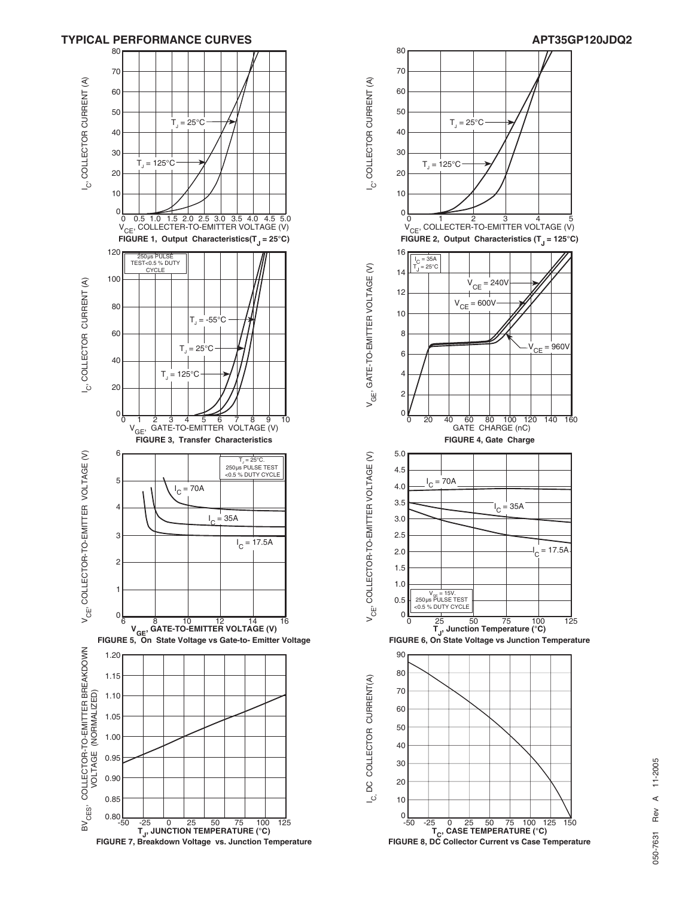



11-2005 050-7631 Rev A 11-2005  $\prec$ Rev 050-7631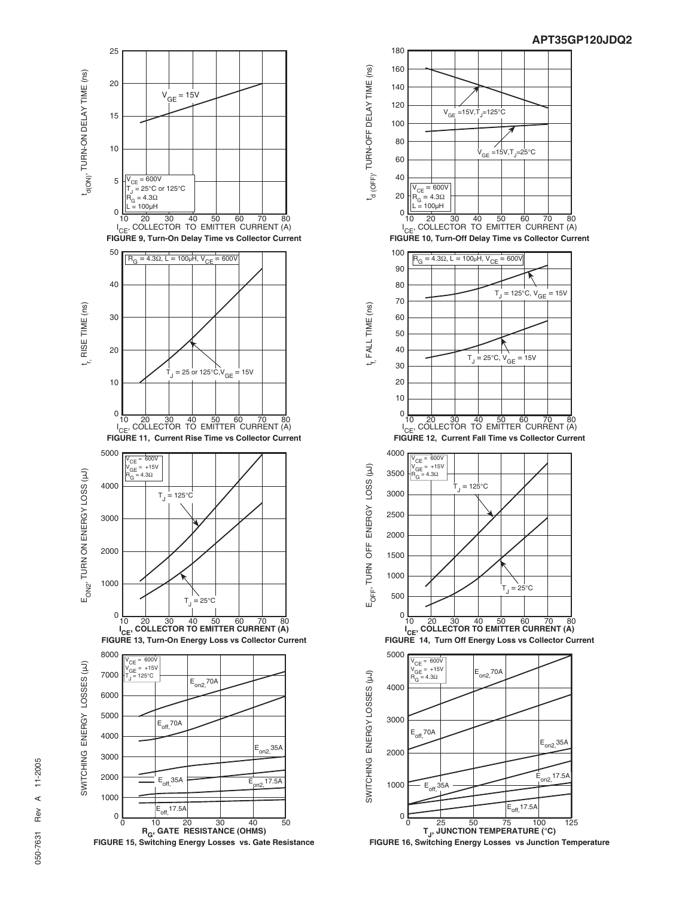







**FIGURE 16, Switching Energy Losses vs Junction Temperature**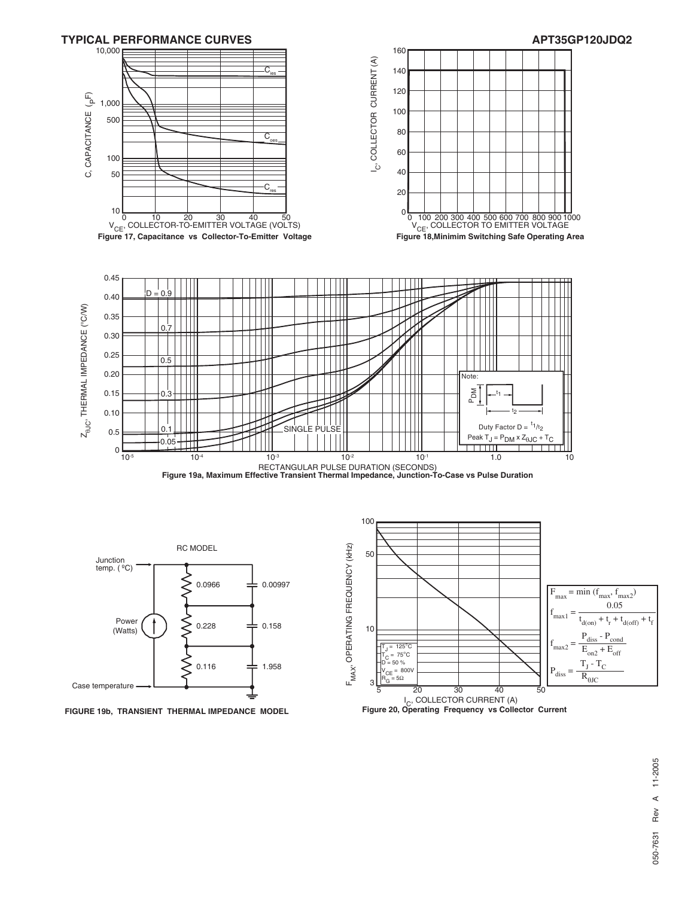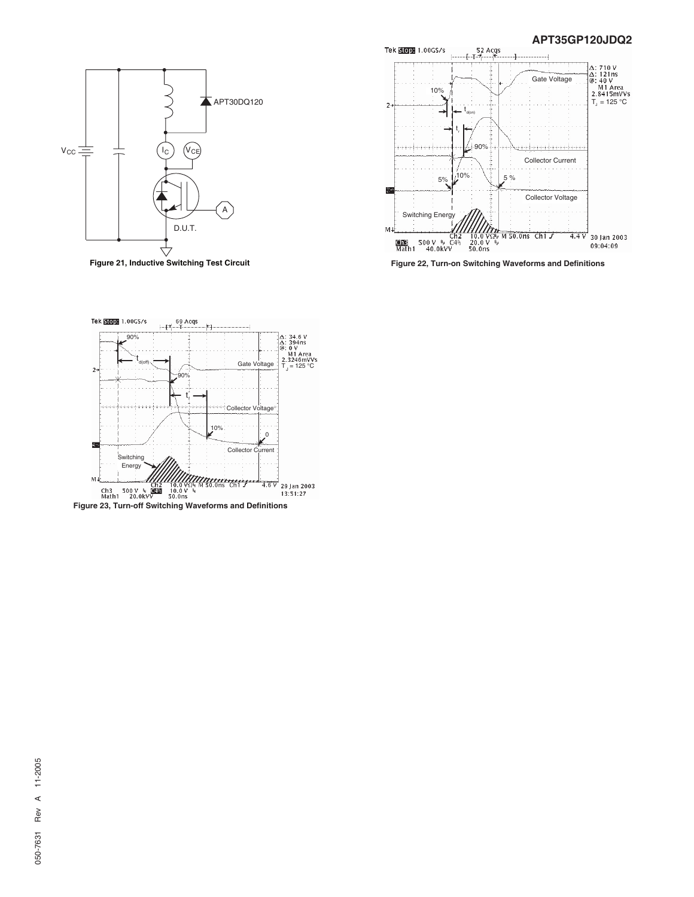

**Figure 21, Inductive Switching Test Circuit**



**Figure 22, Turn-on Switching Waveforms and Definitions**



**Figure 23, Turn-off Switching Waveforms and Definitions**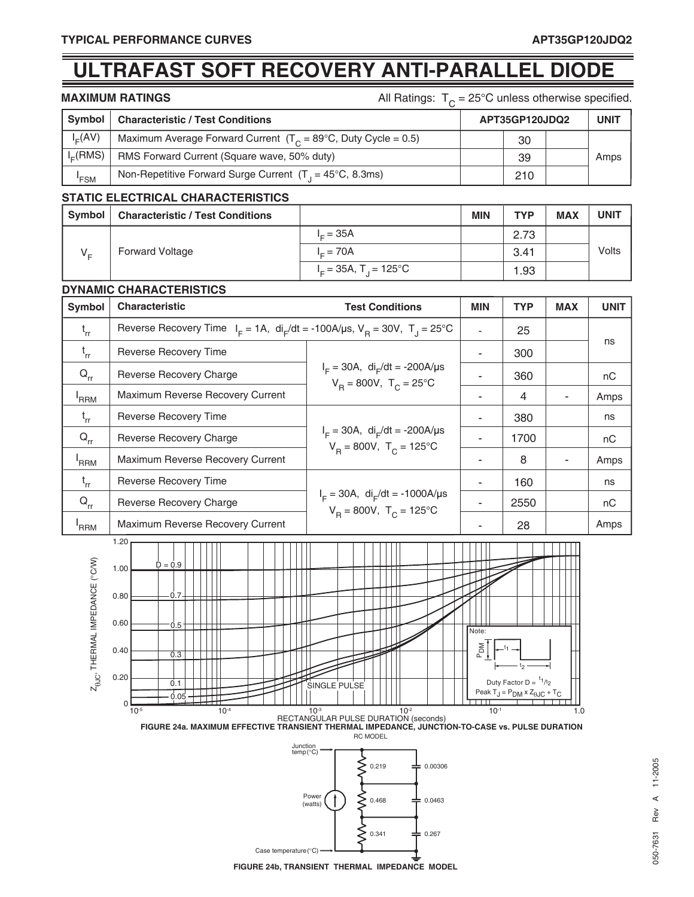## **ULTRAFAST SOFT RECOVERY ANTI-PARALLEL DIODE**

| MAXIMUM RATINGS |  |  |  |  |  |  |
|-----------------|--|--|--|--|--|--|
|-----------------|--|--|--|--|--|--|

All Ratings:  $T_C = 25^{\circ}$ C unless otherwise specified.

| Symbol     | <b>Characteristic / Test Conditions</b>                                   | APT35GP120JDQ2 |  | <b>UNIT</b> |
|------------|---------------------------------------------------------------------------|----------------|--|-------------|
| $I_E(AV)$  | Maximum Average Forward Current $(T_c = 89^{\circ}C,$ Duty Cycle = 0.5)   | 30             |  |             |
| $l_E(RMS)$ | RMS Forward Current (Square wave, 50% duty)                               | 39             |  | Amps        |
| 'FSM       | Non-Repetitive Forward Surge Current $(T_1 = 45^{\circ}C, 8.3 \text{ms})$ | 210            |  |             |

#### **STATIC ELECTRICAL CHARACTERISTICS**

| Symbol  | <b>Characteristic / Test Conditions</b> |                                      | <b>MIN</b> | <b>TYP</b> | <b>MAX</b> | <b>UNIT</b> |
|---------|-----------------------------------------|--------------------------------------|------------|------------|------------|-------------|
|         |                                         | $I = 35A$                            |            | 2.73       |            |             |
| $V_{E}$ | <b>Forward Voltage</b>                  | $I = 70A$                            |            | 3.41       |            | Volts       |
|         |                                         | $I_c = 35A$ , T <sub>1</sub> = 125°C |            | 1.93       |            |             |

#### **DYNAMIC CHARACTERISTICS**

| Symbol                     | <b>Characteristic</b>                                                                          | <b>Test Conditions</b>                                                               | <b>MIN</b> | <b>TYP</b> | <b>MAX</b> | <b>UNIT</b> |
|----------------------------|------------------------------------------------------------------------------------------------|--------------------------------------------------------------------------------------|------------|------------|------------|-------------|
| $t_{rr}$                   | Reverse Recovery Time $I_F = 1A$ , $di_F/dt = -100A/\mu s$ , $V_B = 30V$ , $T_A = 25^{\circ}C$ |                                                                                      |            | 25         |            |             |
| $t_{rr}$                   | Reverse Recovery Time                                                                          | $I_F = 30A$ , di <sub>r</sub> /dt = -200A/µs<br>$V_B = 800V$ , $T_C = 25^{\circ}C$   |            | 300        |            | ns          |
| $Q_{rr}$                   | Reverse Recovery Charge                                                                        |                                                                                      |            | 360        |            | nC          |
| 'RRM                       | Maximum Reverse Recovery Current                                                               |                                                                                      |            | 4          |            | Amps        |
| $t_{rr}$                   | <b>Reverse Recovery Time</b>                                                                   | $I_F = 30A$ , di <sub>F</sub> /dt = -200A/µs<br>$V_B = 800V$ , $T_C = 125^{\circ}C$  |            | 380        |            | ns          |
| $\mathsf{Q}_{\mathsf{rr}}$ | Reverse Recovery Charge                                                                        |                                                                                      |            | 1700       |            | nC          |
| 'RRM                       | Maximum Reverse Recovery Current                                                               |                                                                                      |            | 8          |            | Amps        |
| $t_{rr}$                   | Reverse Recovery Time                                                                          |                                                                                      |            | 160        |            | ns          |
| $Q_{rr}$                   | Reverse Recovery Charge                                                                        | $I_F = 30A$ , di <sub>F</sub> /dt = -1000A/µs<br>$V_B = 800V$ , $T_C = 125^{\circ}C$ |            | 2550       |            | nC          |
| 'RRM                       | Maximum Reverse Recovery Current                                                               |                                                                                      |            | 28         |            | Amps        |

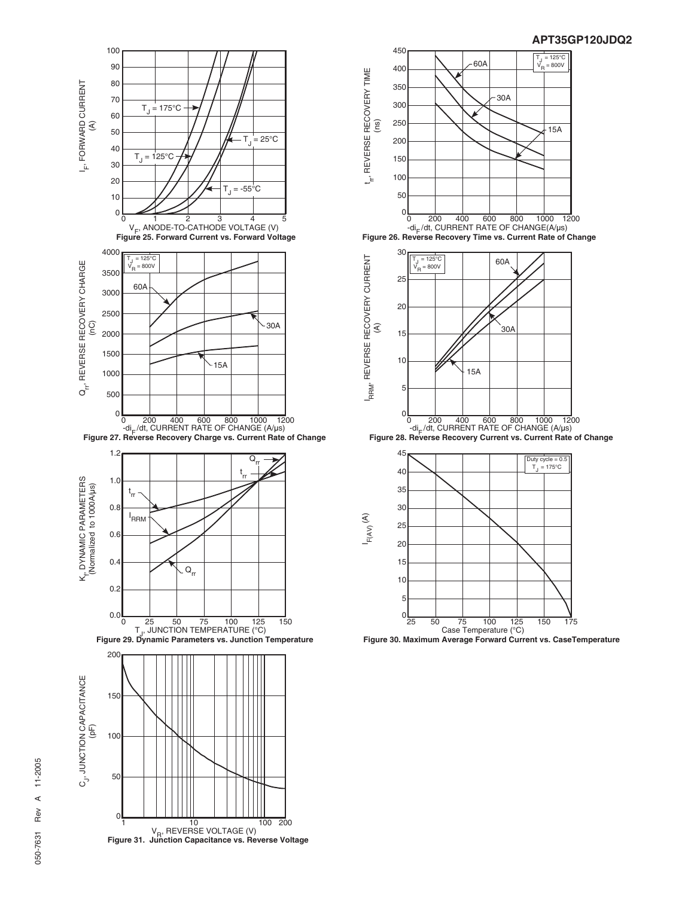





 $11 - 2005$ 050-7631 Rev A 11-2005  $\prec$ Rev 050-7631

**Figure 30. Maximum Average Forward Current vs. CaseTemperature**